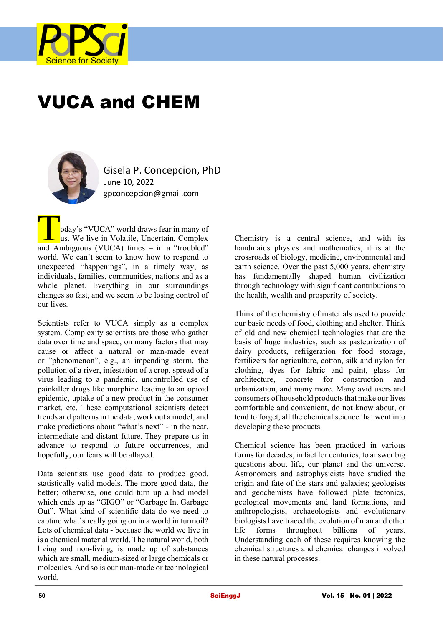

## VUCA and CHEM



 Gisela P. Concepcion, PhD June 10, 2022 gpconcepcion@gmail.com

oday's "VUCA" world draws fear in many of us. We live in Volatile, Uncertain, Complex **and Ambiguous (VUCA**" world draws fear in many of us. We live in Volatile, Uncertain, Complex and Ambiguous (VUCA) times – in a "troubled" world. We can't seem to know how to respond to unexpected "happenings", in a timely way, as individuals, families, communities, nations and as a whole planet. Everything in our surroundings changes so fast, and we seem to be losing control of our lives.

Scientists refer to VUCA simply as a complex system. Complexity scientists are those who gather data over time and space, on many factors that may cause or affect a natural or man-made event or "phenomenon", e.g., an impending storm, the pollution of a river, infestation of a crop, spread of a virus leading to a pandemic, uncontrolled use of painkiller drugs like morphine leading to an opioid epidemic, uptake of a new product in the consumer market, etc. These computational scientists detect trends and patterns in the data, work out a model, and make predictions about "what's next" - in the near, intermediate and distant future. They prepare us in advance to respond to future occurrences, and hopefully, our fears will be allayed.

Data scientists use good data to produce good, statistically valid models. The more good data, the better; otherwise, one could turn up a bad model which ends up as "GIGO" or "Garbage In, Garbage Out". What kind of scientific data do we need to capture what's really going on in a world in turmoil? Lots of chemical data - because the world we live in is a chemical material world. The natural world, both living and non-living, is made up of substances which are small, medium-sized or large chemicals or molecules. And so is our man-made or technological world.

Chemistry is a central science, and with its handmaids physics and mathematics, it is at the crossroads of biology, medicine, environmental and earth science. Over the past 5,000 years, chemistry has fundamentally shaped human civilization through technology with significant contributions to the health, wealth and prosperity of society.

Think of the chemistry of materials used to provide our basic needs of food, clothing and shelter. Think of old and new chemical technologies that are the basis of huge industries, such as pasteurization of dairy products, refrigeration for food storage, fertilizers for agriculture, cotton, silk and nylon for clothing, dyes for fabric and paint, glass for architecture, concrete for construction and urbanization, and many more. Many avid users and consumers of household products that make our lives comfortable and convenient, do not know about, or tend to forget, all the chemical science that went into developing these products.

Chemical science has been practiced in various forms for decades, in fact for centuries, to answer big questions about life, our planet and the universe. Astronomers and astrophysicists have studied the origin and fate of the stars and galaxies; geologists and geochemists have followed plate tectonics, geological movements and land formations, and anthropologists, archaeologists and evolutionary biologists have traced the evolution of man and other life forms throughout billions of years. Understanding each of these requires knowing the chemical structures and chemical changes involved in these natural processes.